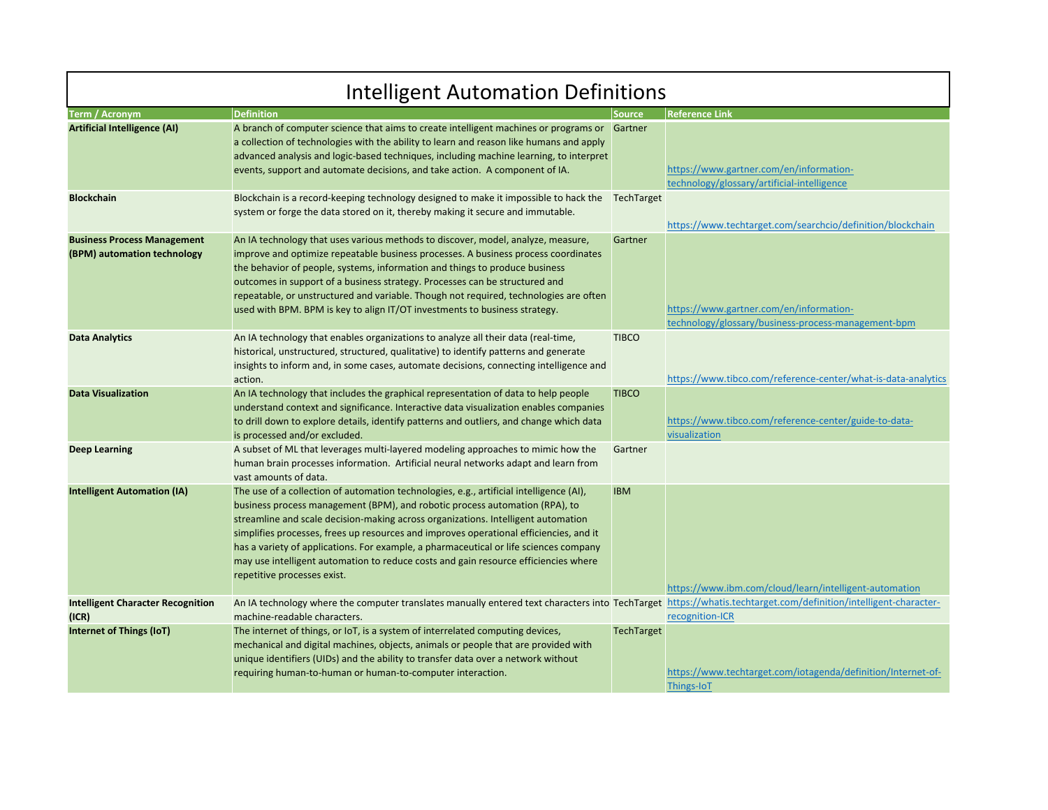| <b>Intelligent Automation Definitions</b>                         |                                                                                                                                                                                                                                                                                                                                                                                                                                                                                                                                                                      |                   |                                                                                                |  |
|-------------------------------------------------------------------|----------------------------------------------------------------------------------------------------------------------------------------------------------------------------------------------------------------------------------------------------------------------------------------------------------------------------------------------------------------------------------------------------------------------------------------------------------------------------------------------------------------------------------------------------------------------|-------------------|------------------------------------------------------------------------------------------------|--|
| <b>Term / Acronym</b>                                             | <b>Definition</b>                                                                                                                                                                                                                                                                                                                                                                                                                                                                                                                                                    | Source            | <b>Reference Link</b>                                                                          |  |
| <b>Artificial Intelligence (AI)</b>                               | A branch of computer science that aims to create intelligent machines or programs or Gartner<br>a collection of technologies with the ability to learn and reason like humans and apply<br>advanced analysis and logic-based techniques, including machine learning, to interpret<br>events, support and automate decisions, and take action. A component of IA.                                                                                                                                                                                                     |                   | https://www.gartner.com/en/information-<br>technology/glossary/artificial-intelligence         |  |
| <b>Blockchain</b>                                                 | Blockchain is a record-keeping technology designed to make it impossible to hack the<br>system or forge the data stored on it, thereby making it secure and immutable.                                                                                                                                                                                                                                                                                                                                                                                               | TechTarget        | https://www.techtarget.com/searchcio/definition/blockchain                                     |  |
| <b>Business Process Management</b><br>(BPM) automation technology | An IA technology that uses various methods to discover, model, analyze, measure,<br>improve and optimize repeatable business processes. A business process coordinates<br>the behavior of people, systems, information and things to produce business<br>outcomes in support of a business strategy. Processes can be structured and<br>repeatable, or unstructured and variable. Though not required, technologies are often<br>used with BPM. BPM is key to align IT/OT investments to business strategy.                                                          | Gartner           | https://www.gartner.com/en/information-<br>technology/glossary/business-process-management-bpm |  |
| <b>Data Analytics</b>                                             | An IA technology that enables organizations to analyze all their data (real-time,<br>historical, unstructured, structured, qualitative) to identify patterns and generate<br>insights to inform and, in some cases, automate decisions, connecting intelligence and<br>action.                                                                                                                                                                                                                                                                                       | <b>TIBCO</b>      | https://www.tibco.com/reference-center/what-is-data-analytics                                  |  |
| <b>Data Visualization</b>                                         | An IA technology that includes the graphical representation of data to help people<br>understand context and significance. Interactive data visualization enables companies<br>to drill down to explore details, identify patterns and outliers, and change which data<br>is processed and/or excluded.                                                                                                                                                                                                                                                              | <b>TIBCO</b>      | https://www.tibco.com/reference-center/guide-to-data-<br>visualization                         |  |
| <b>Deep Learning</b>                                              | A subset of ML that leverages multi-layered modeling approaches to mimic how the<br>human brain processes information. Artificial neural networks adapt and learn from<br>vast amounts of data.                                                                                                                                                                                                                                                                                                                                                                      | Gartner           |                                                                                                |  |
| <b>Intelligent Automation (IA)</b>                                | The use of a collection of automation technologies, e.g., artificial intelligence (AI),<br>business process management (BPM), and robotic process automation (RPA), to<br>streamline and scale decision-making across organizations. Intelligent automation<br>simplifies processes, frees up resources and improves operational efficiencies, and it<br>has a variety of applications. For example, a pharmaceutical or life sciences company<br>may use intelligent automation to reduce costs and gain resource efficiencies where<br>repetitive processes exist. | <b>IBM</b>        | https://www.ibm.com/cloud/learn/intelligent-automation                                         |  |
| <b>Intelligent Character Recognition</b><br>(ICR)                 | An IA technology where the computer translates manually entered text characters into TechTarget https://whatis.techtarget.com/definition/intelligent-character-<br>machine-readable characters.                                                                                                                                                                                                                                                                                                                                                                      |                   | recognition-ICR                                                                                |  |
| <b>Internet of Things (IoT)</b>                                   | The internet of things, or IoT, is a system of interrelated computing devices,<br>mechanical and digital machines, objects, animals or people that are provided with<br>unique identifiers (UIDs) and the ability to transfer data over a network without<br>requiring human-to-human or human-to-computer interaction.                                                                                                                                                                                                                                              | <b>TechTarget</b> | https://www.techtarget.com/iotagenda/definition/Internet-of-<br>Things-IoT                     |  |